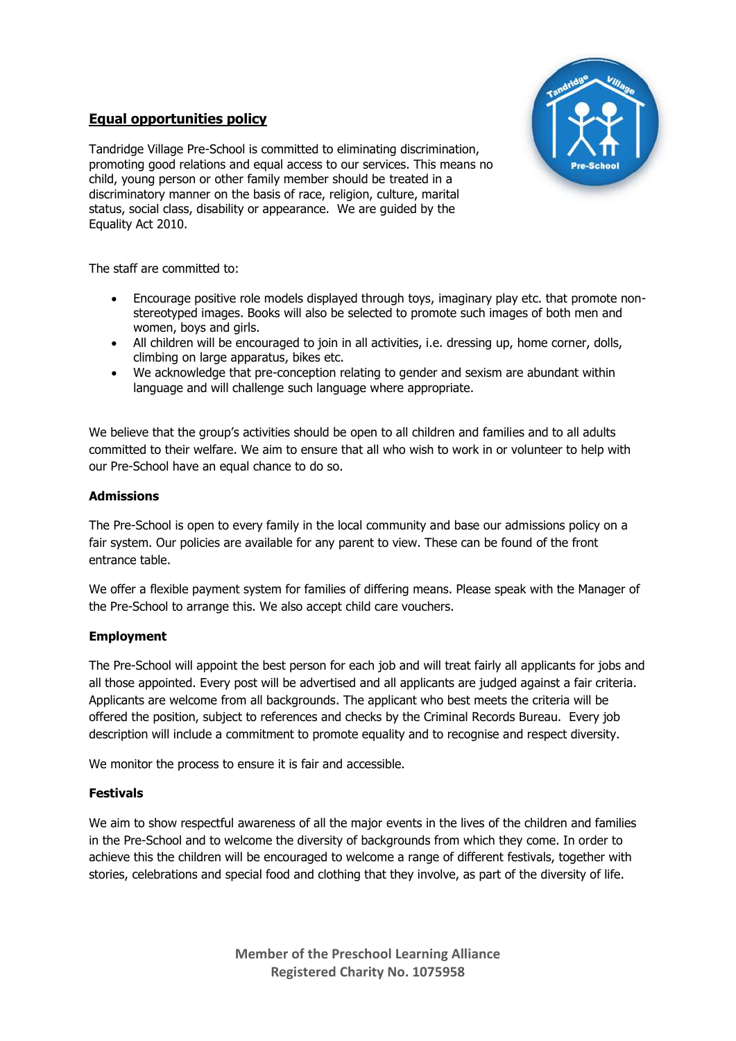## **Equal opportunities policy**



Tandridge Village Pre-School is committed to eliminating discrimination, promoting good relations and equal access to our services. This means no child, young person or other family member should be treated in a discriminatory manner on the basis of race, religion, culture, marital status, social class, disability or appearance. We are guided by the Equality Act 2010.

The staff are committed to:

- Encourage positive role models displayed through toys, imaginary play etc. that promote nonstereotyped images. Books will also be selected to promote such images of both men and women, boys and girls.
- All children will be encouraged to join in all activities, i.e. dressing up, home corner, dolls, climbing on large apparatus, bikes etc.
- We acknowledge that pre-conception relating to gender and sexism are abundant within language and will challenge such language where appropriate.

We believe that the group's activities should be open to all children and families and to all adults committed to their welfare. We aim to ensure that all who wish to work in or volunteer to help with our Pre-School have an equal chance to do so.

#### **Admissions**

The Pre-School is open to every family in the local community and base our admissions policy on a fair system. Our policies are available for any parent to view. These can be found of the front entrance table.

We offer a flexible payment system for families of differing means. Please speak with the Manager of the Pre-School to arrange this. We also accept child care vouchers.

#### **Employment**

The Pre-School will appoint the best person for each job and will treat fairly all applicants for jobs and all those appointed. Every post will be advertised and all applicants are judged against a fair criteria. Applicants are welcome from all backgrounds. The applicant who best meets the criteria will be offered the position, subject to references and checks by the Criminal Records Bureau. Every job description will include a commitment to promote equality and to recognise and respect diversity.

We monitor the process to ensure it is fair and accessible.

#### **Festivals**

We aim to show respectful awareness of all the major events in the lives of the children and families in the Pre-School and to welcome the diversity of backgrounds from which they come. In order to achieve this the children will be encouraged to welcome a range of different festivals, together with stories, celebrations and special food and clothing that they involve, as part of the diversity of life.

> **Member of the Preschool Learning Alliance Registered Charity No. 1075958**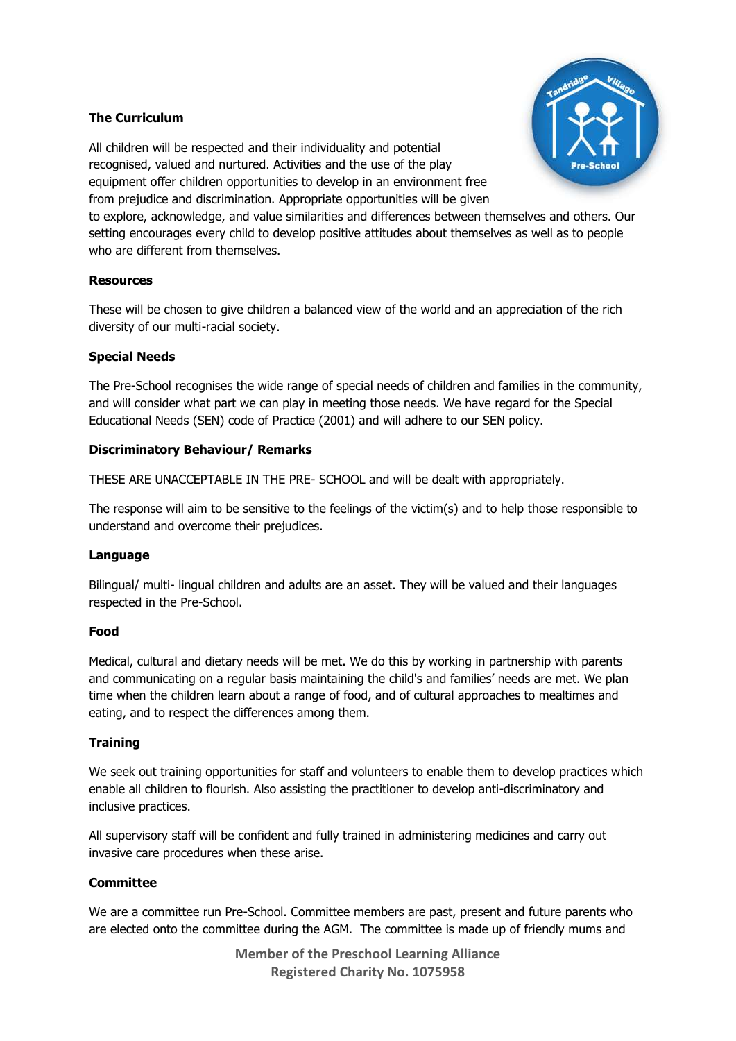### **The Curriculum**



All children will be respected and their individuality and potential recognised, valued and nurtured. Activities and the use of the play equipment offer children opportunities to develop in an environment free from prejudice and discrimination. Appropriate opportunities will be given to explore, acknowledge, and value similarities and differences between themselves and others. Our setting encourages every child to develop positive attitudes about themselves as well as to people

# **Resources**

who are different from themselves.

These will be chosen to give children a balanced view of the world and an appreciation of the rich diversity of our multi-racial society.

#### **Special Needs**

The Pre-School recognises the wide range of special needs of children and families in the community, and will consider what part we can play in meeting those needs. We have regard for the Special Educational Needs (SEN) code of Practice (2001) and will adhere to our SEN policy.

#### **Discriminatory Behaviour/ Remarks**

THESE ARE UNACCEPTABLE IN THE PRE- SCHOOL and will be dealt with appropriately.

The response will aim to be sensitive to the feelings of the victim(s) and to help those responsible to understand and overcome their prejudices.

#### **Language**

Bilingual/ multi- lingual children and adults are an asset. They will be valued and their languages respected in the Pre-School.

#### **Food**

Medical, cultural and dietary needs will be met. We do this by working in partnership with parents and communicating on a regular basis maintaining the child's and families' needs are met. We plan time when the children learn about a range of food, and of cultural approaches to mealtimes and eating, and to respect the differences among them.

#### **Training**

We seek out training opportunities for staff and volunteers to enable them to develop practices which enable all children to flourish. Also assisting the practitioner to develop anti-discriminatory and inclusive practices.

All supervisory staff will be confident and fully trained in administering medicines and carry out invasive care procedures when these arise.

#### **Committee**

We are a committee run Pre-School. Committee members are past, present and future parents who are elected onto the committee during the AGM. The committee is made up of friendly mums and

> **Member of the Preschool Learning Alliance Registered Charity No. 1075958**